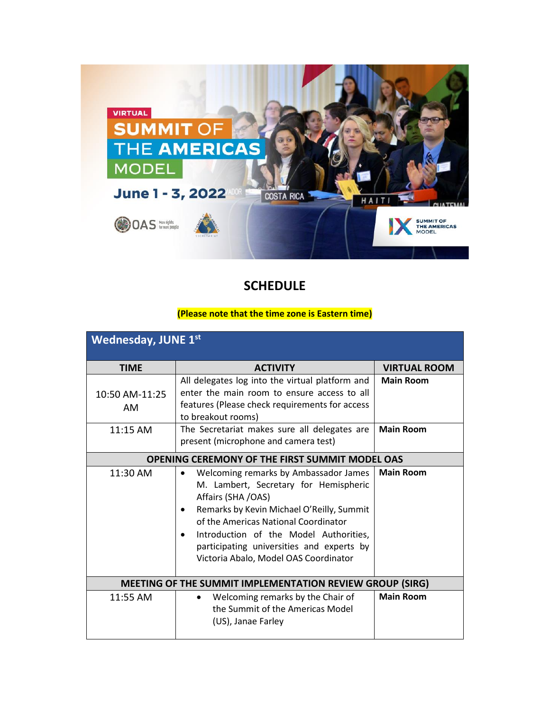

**SCHEDULE** 

## **(Please note that the time zone is Eastern time)**

| <b>Wednesday, JUNE 1st</b>                               |                                                                                                                                                                                                                                                                                                                           |                     |  |
|----------------------------------------------------------|---------------------------------------------------------------------------------------------------------------------------------------------------------------------------------------------------------------------------------------------------------------------------------------------------------------------------|---------------------|--|
| <b>TIME</b>                                              | <b>ACTIVITY</b>                                                                                                                                                                                                                                                                                                           | <b>VIRTUAL ROOM</b> |  |
| 10:50 AM-11:25<br>AM                                     | All delegates log into the virtual platform and<br>enter the main room to ensure access to all<br>features (Please check requirements for access<br>to breakout rooms)                                                                                                                                                    | <b>Main Room</b>    |  |
| 11:15 AM                                                 | The Secretariat makes sure all delegates are<br>present (microphone and camera test)                                                                                                                                                                                                                                      | <b>Main Room</b>    |  |
| <b>OPENING CEREMONY OF THE FIRST SUMMIT MODEL OAS</b>    |                                                                                                                                                                                                                                                                                                                           |                     |  |
| 11:30 AM                                                 | Welcoming remarks by Ambassador James<br>M. Lambert, Secretary for Hemispheric<br>Affairs (SHA /OAS)<br>Remarks by Kevin Michael O'Reilly, Summit<br>of the Americas National Coordinator<br>Introduction of the Model Authorities,<br>participating universities and experts by<br>Victoria Abalo, Model OAS Coordinator | <b>Main Room</b>    |  |
| MEETING OF THE SUMMIT IMPLEMENTATION REVIEW GROUP (SIRG) |                                                                                                                                                                                                                                                                                                                           |                     |  |
| 11:55 AM                                                 | Welcoming remarks by the Chair of<br>٠<br>the Summit of the Americas Model<br>(US), Janae Farley                                                                                                                                                                                                                          | <b>Main Room</b>    |  |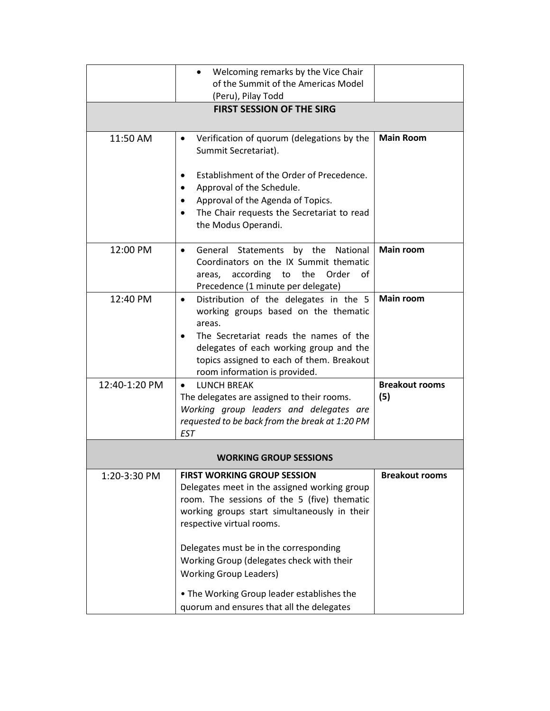|                               | Welcoming remarks by the Vice Chair<br>٠                                                                                                                                                   |                       |  |  |  |
|-------------------------------|--------------------------------------------------------------------------------------------------------------------------------------------------------------------------------------------|-----------------------|--|--|--|
|                               | of the Summit of the Americas Model                                                                                                                                                        |                       |  |  |  |
|                               | (Peru), Pilay Todd                                                                                                                                                                         |                       |  |  |  |
|                               | <b>FIRST SESSION OF THE SIRG</b>                                                                                                                                                           |                       |  |  |  |
|                               |                                                                                                                                                                                            |                       |  |  |  |
| 11:50 AM                      | Verification of quorum (delegations by the<br>$\bullet$<br>Summit Secretariat).                                                                                                            | <b>Main Room</b>      |  |  |  |
|                               | Establishment of the Order of Precedence.                                                                                                                                                  |                       |  |  |  |
|                               | Approval of the Schedule.                                                                                                                                                                  |                       |  |  |  |
|                               | Approval of the Agenda of Topics.                                                                                                                                                          |                       |  |  |  |
|                               | The Chair requests the Secretariat to read                                                                                                                                                 |                       |  |  |  |
|                               | the Modus Operandi.                                                                                                                                                                        |                       |  |  |  |
| 12:00 PM                      | by the National<br>General Statements<br>٠<br>Coordinators on the IX Summit thematic<br>areas, according to the<br>Order<br>of<br>Precedence (1 minute per delegate)                       | <b>Main room</b>      |  |  |  |
| 12:40 PM                      | Distribution of the delegates in the 5<br>$\bullet$<br>working groups based on the thematic<br>areas.<br>The Secretariat reads the names of the<br>delegates of each working group and the | <b>Main room</b>      |  |  |  |
|                               | topics assigned to each of them. Breakout<br>room information is provided.                                                                                                                 |                       |  |  |  |
| 12:40-1:20 PM                 | <b>LUNCH BREAK</b><br>$\bullet$                                                                                                                                                            | <b>Breakout rooms</b> |  |  |  |
|                               | The delegates are assigned to their rooms.                                                                                                                                                 | (5)                   |  |  |  |
|                               | Working group leaders and delegates are                                                                                                                                                    |                       |  |  |  |
|                               | requested to be back from the break at 1:20 PM                                                                                                                                             |                       |  |  |  |
|                               | <b>EST</b>                                                                                                                                                                                 |                       |  |  |  |
| <b>WORKING GROUP SESSIONS</b> |                                                                                                                                                                                            |                       |  |  |  |
| 1:20-3:30 PM                  | <b>FIRST WORKING GROUP SESSION</b>                                                                                                                                                         | <b>Breakout rooms</b> |  |  |  |
|                               | Delegates meet in the assigned working group                                                                                                                                               |                       |  |  |  |
|                               | room. The sessions of the 5 (five) thematic                                                                                                                                                |                       |  |  |  |
|                               | working groups start simultaneously in their                                                                                                                                               |                       |  |  |  |
|                               | respective virtual rooms.                                                                                                                                                                  |                       |  |  |  |
|                               | Delegates must be in the corresponding                                                                                                                                                     |                       |  |  |  |
|                               | Working Group (delegates check with their                                                                                                                                                  |                       |  |  |  |
|                               | <b>Working Group Leaders)</b>                                                                                                                                                              |                       |  |  |  |
|                               | • The Working Group leader establishes the                                                                                                                                                 |                       |  |  |  |
|                               | quorum and ensures that all the delegates                                                                                                                                                  |                       |  |  |  |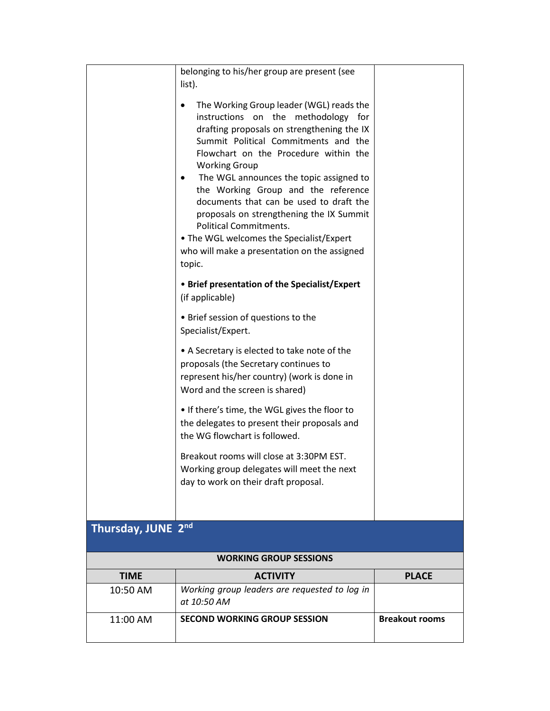|                               | belonging to his/her group are present (see<br>list).                                                                                                                                                                                                                                                                                                                                                                                                                                                                                                        |                       |  |  |
|-------------------------------|--------------------------------------------------------------------------------------------------------------------------------------------------------------------------------------------------------------------------------------------------------------------------------------------------------------------------------------------------------------------------------------------------------------------------------------------------------------------------------------------------------------------------------------------------------------|-----------------------|--|--|
|                               | The Working Group leader (WGL) reads the<br>instructions<br>on the<br>methodology for<br>drafting proposals on strengthening the IX<br>Summit Political Commitments and the<br>Flowchart on the Procedure within the<br><b>Working Group</b><br>The WGL announces the topic assigned to<br>the Working Group and the reference<br>documents that can be used to draft the<br>proposals on strengthening the IX Summit<br><b>Political Commitments.</b><br>• The WGL welcomes the Specialist/Expert<br>who will make a presentation on the assigned<br>topic. |                       |  |  |
|                               | • Brief presentation of the Specialist/Expert<br>(if applicable)                                                                                                                                                                                                                                                                                                                                                                                                                                                                                             |                       |  |  |
|                               | • Brief session of questions to the<br>Specialist/Expert.                                                                                                                                                                                                                                                                                                                                                                                                                                                                                                    |                       |  |  |
|                               | • A Secretary is elected to take note of the<br>proposals (the Secretary continues to<br>represent his/her country) (work is done in<br>Word and the screen is shared)                                                                                                                                                                                                                                                                                                                                                                                       |                       |  |  |
|                               | • If there's time, the WGL gives the floor to<br>the delegates to present their proposals and<br>the WG flowchart is followed.                                                                                                                                                                                                                                                                                                                                                                                                                               |                       |  |  |
|                               | Breakout rooms will close at 3:30PM EST.<br>Working group delegates will meet the next<br>day to work on their draft proposal.                                                                                                                                                                                                                                                                                                                                                                                                                               |                       |  |  |
| Thursday, JUNE 2nd            |                                                                                                                                                                                                                                                                                                                                                                                                                                                                                                                                                              |                       |  |  |
| <b>WORKING GROUP SESSIONS</b> |                                                                                                                                                                                                                                                                                                                                                                                                                                                                                                                                                              |                       |  |  |
| <b>TIME</b>                   | <b>ACTIVITY</b>                                                                                                                                                                                                                                                                                                                                                                                                                                                                                                                                              | <b>PLACE</b>          |  |  |
| 10:50 AM                      | Working group leaders are requested to log in<br>at 10:50 AM                                                                                                                                                                                                                                                                                                                                                                                                                                                                                                 |                       |  |  |
| 11:00 AM                      | <b>SECOND WORKING GROUP SESSION</b>                                                                                                                                                                                                                                                                                                                                                                                                                                                                                                                          | <b>Breakout rooms</b> |  |  |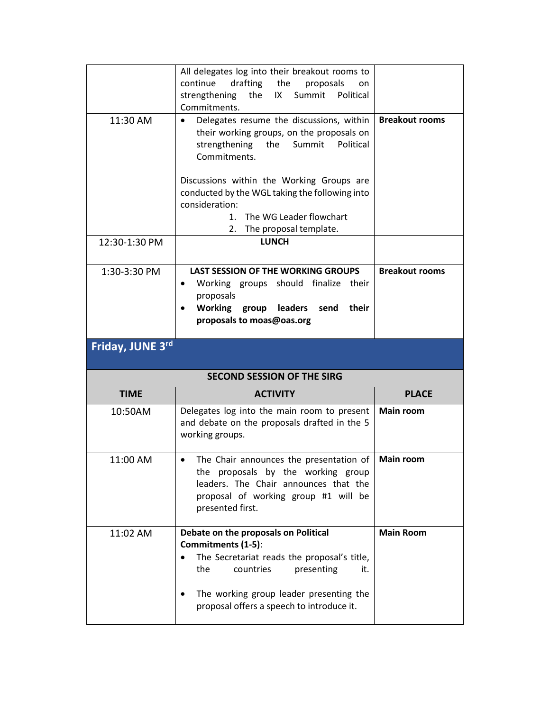|                  | All delegates log into their breakout rooms to<br>continue<br>drafting the<br>proposals<br>on                                                                                                   |                       |
|------------------|-------------------------------------------------------------------------------------------------------------------------------------------------------------------------------------------------|-----------------------|
|                  | strengthening<br>the<br>IX<br>Summit<br>Political<br>Commitments.                                                                                                                               |                       |
| 11:30 AM         | Delegates resume the discussions, within<br>٠<br>their working groups, on the proposals on<br>strengthening<br>Political<br>the<br>Summit<br>Commitments.                                       | <b>Breakout rooms</b> |
|                  | Discussions within the Working Groups are<br>conducted by the WGL taking the following into<br>consideration:<br>The WG Leader flowchart<br>$1_{-}$<br>2. The proposal template.                |                       |
| 12:30-1:30 PM    | <b>LUNCH</b>                                                                                                                                                                                    |                       |
| 1:30-3:30 PM     | <b>LAST SESSION OF THE WORKING GROUPS</b><br>Working groups should finalize their<br>$\bullet$<br>proposals<br><b>Working</b><br>leaders<br>their<br>group<br>send<br>proposals to moas@oas.org | <b>Breakout rooms</b> |
|                  |                                                                                                                                                                                                 |                       |
| Friday, JUNE 3rd |                                                                                                                                                                                                 |                       |
|                  | <b>SECOND SESSION OF THE SIRG</b>                                                                                                                                                               |                       |
| <b>TIME</b>      | <b>ACTIVITY</b>                                                                                                                                                                                 | <b>PLACE</b>          |
| 10:50AM          | Delegates log into the main room to present<br>and debate on the proposals drafted in the 5<br>working groups.                                                                                  | <b>Main room</b>      |
| 11:00 AM         | The Chair announces the presentation of<br>$\bullet$<br>the proposals by the working group<br>leaders. The Chair announces that the<br>proposal of working group #1 will be<br>presented first. | <b>Main room</b>      |